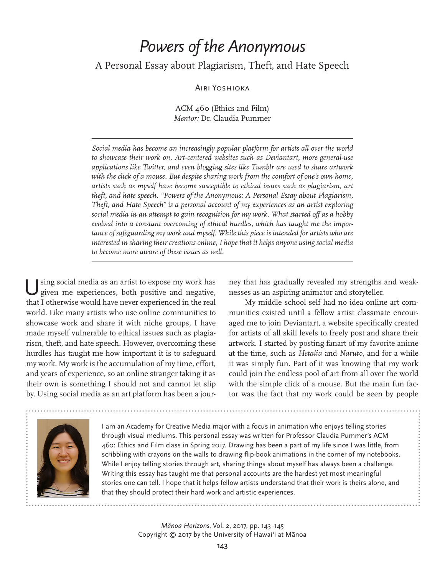## *Powers of the Anonymous*

## A Personal Essay about Plagiarism, Theft, and Hate Speech

## Airi Yoshioka

ACM 460 (Ethics and Film) *Mentor:* Dr. Claudia Pummer

*Social media has become an increasingly popular platform for artists all over the world to showcase their work on. Art-centered websites such as Deviantart, more general-use applications like Twitter, and even blogging sites like Tumblr are used to share artwork*  with the click of a mouse. But despite sharing work from the comfort of one's own home, *artists such as myself have become susceptible to ethical issues such as plagiarism, art theft, and hate speech. "Powers of the Anonymous: A Personal Essay about Plagiarism, Theft, and Hate Speech" is a personal account of my experiences as an artist exploring social media in an attempt to gain recognition for my work. What started off as a hobby evolved into a constant overcoming of ethical hurdles, which has taught me the importance of safeguarding my work and myself. While this piece is intended for artists who are interested in sharing their creations online, I hope that it helps anyone using social media to become more aware of these issues as well.*

Using social media as an artist to expose my work has given me experiences, both positive and negative, that I otherwise would have never experienced in the real world. Like many artists who use online communities to showcase work and share it with niche groups, I have made myself vulnerable to ethical issues such as plagiarism, theft, and hate speech. However, overcoming these hurdles has taught me how important it is to safeguard my work. My work is the accumulation of my time, effort, and years of experience, so an online stranger taking it as their own is something I should not and cannot let slip by. Using social media as an art platform has been a jour-

ney that has gradually revealed my strengths and weaknesses as an aspiring animator and storyteller.

My middle school self had no idea online art communities existed until a fellow artist classmate encouraged me to join Deviantart, a website specifically created for artists of all skill levels to freely post and share their artwork. I started by posting fanart of my favorite anime at the time, such as *Hetalia* and *Naruto,* and for a while it was simply fun. Part of it was knowing that my work could join the endless pool of art from all over the world with the simple click of a mouse. But the main fun factor was the fact that my work could be seen by people



I am an Academy for Creative Media major with a focus in animation who enjoys telling stories through visual mediums. This personal essay was written for Professor Claudia Pummer's ACM 460: Ethics and Film class in Spring 2017. Drawing has been a part of my life since I was little, from scribbling with crayons on the walls to drawing flip-book animations in the corner of my notebooks. While I enjoy telling stories through art, sharing things about myself has always been a challenge. Writing this essay has taught me that personal accounts are the hardest yet most meaningful stories one can tell. I hope that it helps fellow artists understand that their work is theirs alone, and that they should protect their hard work and artistic experiences.

> *Mānoa Horizons*, Vol. 2, 2017, pp. 143–145 Copyright © 2017 by the University of Hawai'i at Mānoa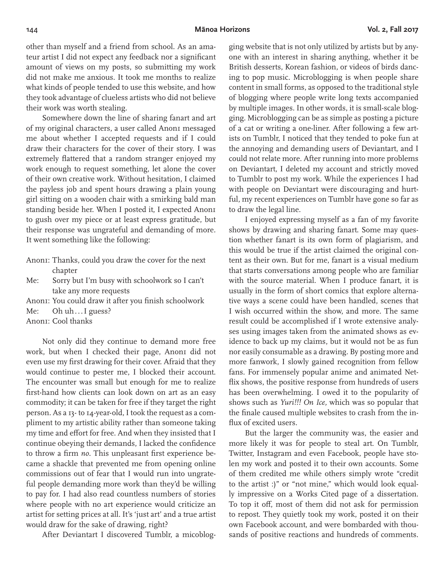other than myself and a friend from school. As an amateur artist I did not expect any feedback nor a significant amount of views on my posts, so submitting my work did not make me anxious. It took me months to realize what kinds of people tended to use this website, and how they took advantage of clueless artists who did not believe their work was worth stealing.

Somewhere down the line of sharing fanart and art of my original characters, a user called Anon1 messaged me about whether I accepted requests and if I could draw their characters for the cover of their story. I was extremely flattered that a random stranger enjoyed my work enough to request something, let alone the cover of their own creative work. Without hesitation, I claimed the payless job and spent hours drawing a plain young girl sitting on a wooden chair with a smirking bald man standing beside her. When I posted it, I expected Anon1 to gush over my piece or at least express gratitude, but their response was ungrateful and demanding of more. It went something like the following:

- Anon1: Thanks, could you draw the cover for the next chapter
- Me: Sorry but I'm busy with schoolwork so I can't take any more requests
- Anon1: You could draw it after you finish schoolwork
- Me: Oh uh...I guess?
- Anon1: Cool thanks

Not only did they continue to demand more free work, but when I checked their page, Anoni did not even use my first drawing for their cover. Afraid that they would continue to pester me, I blocked their account. The encounter was small but enough for me to realize first-hand how clients can look down on art as an easy commodity; it can be taken for free if they target the right person. As a 13- to 14-year-old, I took the request as a compliment to my artistic ability rather than someone taking my time and effort for free. And when they insisted that I continue obeying their demands, I lacked the confidence to throw a firm *no.* This unpleasant first experience became a shackle that prevented me from opening online commissions out of fear that I would run into ungrateful people demanding more work than they'd be willing to pay for. I had also read countless numbers of stories where people with no art experience would criticize an artist for setting prices at all. It's 'just art' and a true artist would draw for the sake of drawing, right?

After Deviantart I discovered Tumblr, a micoblog-

ging website that is not only utilized by artists but by anyone with an interest in sharing anything, whether it be British desserts, Korean fashion, or videos of birds dancing to pop music. Microblogging is when people share content in small forms, as opposed to the traditional style of blogging where people write long texts accompanied by multiple images. In other words, it is small-scale blogging. Microblogging can be as simple as posting a picture of a cat or writing a one-liner. After following a few artists on Tumblr, I noticed that they tended to poke fun at the annoying and demanding users of Deviantart, and I could not relate more. After running into more problems on Deviantart, I deleted my account and strictly moved to Tumblr to post my work. While the experiences I had with people on Deviantart were discouraging and hurtful, my recent experiences on Tumblr have gone so far as to draw the legal line.

I enjoyed expressing myself as a fan of my favorite shows by drawing and sharing fanart. Some may question whether fanart is its own form of plagiarism, and this would be true if the artist claimed the original content as their own. But for me, fanart is a visual medium that starts conversations among people who are familiar with the source material. When I produce fanart, it is usually in the form of short comics that explore alternative ways a scene could have been handled, scenes that I wish occurred within the show, and more. The same result could be accomplished if I wrote extensive analyses using images taken from the animated shows as evidence to back up my claims, but it would not be as fun nor easily consumable as a drawing. By posting more and more fanwork, I slowly gained recognition from fellow fans. For immensely popular anime and animated Netflix shows, the positive response from hundreds of users has been overwhelming. I owed it to the popularity of shows such as *Yuri!!! On Ice,* which was so popular that the finale caused multiple websites to crash from the influx of excited users.

But the larger the community was, the easier and more likely it was for people to steal art. On Tumblr, Twitter, Instagram and even Facebook, people have stolen my work and posted it to their own accounts. Some of them credited me while others simply wrote "credit to the artist :)" or "not mine," which would look equally impressive on a Works Cited page of a dissertation. To top it off, most of them did not ask for permission to repost. They quietly took my work, posted it on their own Facebook account, and were bombarded with thousands of positive reactions and hundreds of comments.